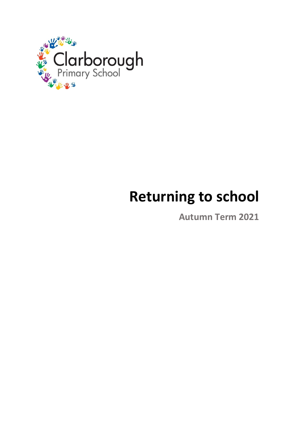

# **Returning to school**

**Autumn Term 2021**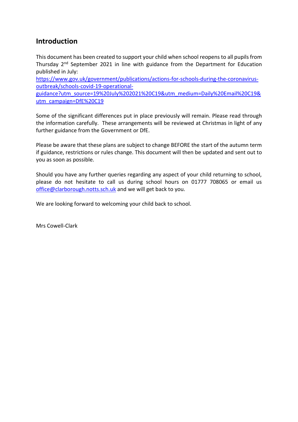#### **Introduction**

This document has been created to support your child when school reopens to all pupils from Thursday 2<sup>nd</sup> September 2021 in line with guidance from the Department for Education published in July:

[https://www.gov.uk/government/publications/actions-for-schools-during-the-coronavirus](https://www.gov.uk/government/publications/actions-for-schools-during-the-coronavirus-outbreak/schools-covid-19-operational-guidance?utm_source=19%20July%202021%20C19&utm_medium=Daily%20Email%20C19&utm_campaign=DfE%20C19)[outbreak/schools-covid-19-operational-](https://www.gov.uk/government/publications/actions-for-schools-during-the-coronavirus-outbreak/schools-covid-19-operational-guidance?utm_source=19%20July%202021%20C19&utm_medium=Daily%20Email%20C19&utm_campaign=DfE%20C19)

[guidance?utm\\_source=19%20July%202021%20C19&utm\\_medium=Daily%20Email%20C19&](https://www.gov.uk/government/publications/actions-for-schools-during-the-coronavirus-outbreak/schools-covid-19-operational-guidance?utm_source=19%20July%202021%20C19&utm_medium=Daily%20Email%20C19&utm_campaign=DfE%20C19) [utm\\_campaign=DfE%20C19](https://www.gov.uk/government/publications/actions-for-schools-during-the-coronavirus-outbreak/schools-covid-19-operational-guidance?utm_source=19%20July%202021%20C19&utm_medium=Daily%20Email%20C19&utm_campaign=DfE%20C19)

Some of the significant differences put in place previously will remain. Please read through the information carefully. These arrangements will be reviewed at Christmas in light of any further guidance from the Government or DfE.

Please be aware that these plans are subject to change BEFORE the start of the autumn term if guidance, restrictions or rules change. This document will then be updated and sent out to you as soon as possible.

Should you have any further queries regarding any aspect of your child returning to school, please do not hesitate to call us during school hours on 01777 708065 or email us [office@clarborough.notts.sch.uk](mailto:office@clarborough.notts.sch.uk) and we will get back to you.

We are looking forward to welcoming your child back to school.

Mrs Cowell-Clark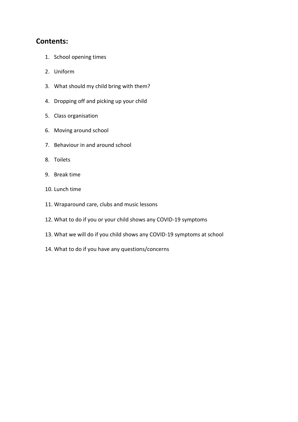#### **Contents:**

- 1. School opening times
- 2. Uniform
- 3. What should my child bring with them?
- 4. Dropping off and picking up your child
- 5. Class organisation
- 6. Moving around school
- 7. Behaviour in and around school
- 8. Toilets
- 9. Break time
- 10. Lunch time
- 11. Wraparound care, clubs and music lessons
- 12. What to do if you or your child shows any COVID-19 symptoms
- 13. What we will do if you child shows any COVID-19 symptoms at school
- 14. What to do if you have any questions/concerns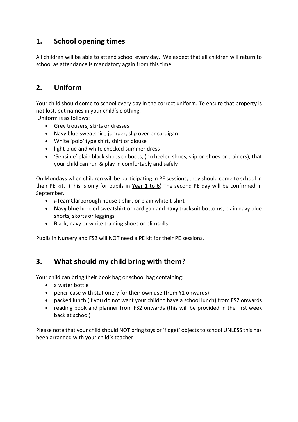## **1. School opening times**

All children will be able to attend school every day. We expect that all children will return to school as attendance is mandatory again from this time.

# **2. Uniform**

Your child should come to school every day in the correct uniform. To ensure that property is not lost, put names in your child's clothing.

Uniform is as follows:

- Grey trousers, skirts or dresses
- Navy blue sweatshirt, jumper, slip over or cardigan
- White 'polo' type shirt, shirt or blouse
- light blue and white checked summer dress
- 'Sensible' plain black shoes or boots, (no heeled shoes, slip on shoes or trainers), that your child can run & play in comfortably and safely

On Mondays when children will be participating in PE sessions, they should come to school in their PE kit. (This is only for pupils in Year 1 to 6) The second PE day will be confirmed in September.

- #TeamClarborough house t-shirt or plain white t-shirt
- **Navy blue** hooded sweatshirt or cardigan and **navy** tracksuit bottoms, plain navy blue shorts, skorts or leggings
- Black, navy or white training shoes or plimsolls

Pupils in Nursery and FS2 will NOT need a PE kit for their PE sessions.

## **3. What should my child bring with them?**

Your child can bring their book bag or school bag containing:

- a water bottle
- pencil case with stationery for their own use (from Y1 onwards)
- packed lunch (if you do not want your child to have a school lunch) from FS2 onwards
- reading book and planner from FS2 onwards (this will be provided in the first week back at school)

Please note that your child should NOT bring toys or 'fidget' objects to school UNLESS this has been arranged with your child's teacher.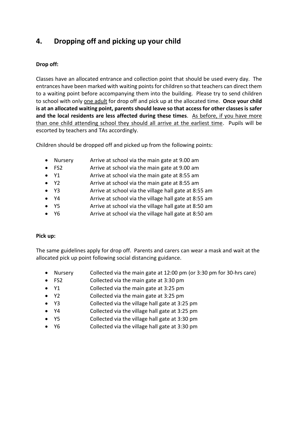# **4. Dropping off and picking up your child**

#### **Drop off:**

Classes have an allocated entrance and collection point that should be used every day. The entrances have been marked with waiting points for children so that teachers can direct them to a waiting point before accompanying them into the building. Please try to send children to school with only one adult for drop off and pick up at the allocated time. **Once your child is at an allocated waiting point, parents should leave so that access for other classes is safer and the local residents are less affected during these times**. As before, if you have more than one child attending school they should all arrive at the earliest time. Pupils will be escorted by teachers and TAs accordingly.

Children should be dropped off and picked up from the following points:

- Nursery Arrive at school via the main gate at 9.00 am
- FS2 Arrive at school via the main gate at 9.00 am
- Y1 Arrive at school via the main gate at 8:55 am
- Y2 Arrive at school via the main gate at 8:55 am
- Y3 Arrive at school via the village hall gate at 8:55 am
- Y4 Arrive at school via the village hall gate at 8:55 am
- Y5 Arrive at school via the village hall gate at 8:50 am
- Y6 Arrive at school via the village hall gate at 8:50 am

#### **Pick up:**

The same guidelines apply for drop off. Parents and carers can wear a mask and wait at the allocated pick up point following social distancing guidance.

- Nursery Collected via the main gate at 12:00 pm (or 3:30 pm for 30-hrs care)
- FS2 Collected via the main gate at 3:30 pm
- Y1 Collected via the main gate at 3:25 pm
- Y2 Collected via the main gate at 3:25 pm
- Y3 Collected via the village hall gate at 3:25 pm
- Y4 Collected via the village hall gate at 3:25 pm
- Y5 Collected via the village hall gate at 3:30 pm
- Y6 Collected via the village hall gate at 3:30 pm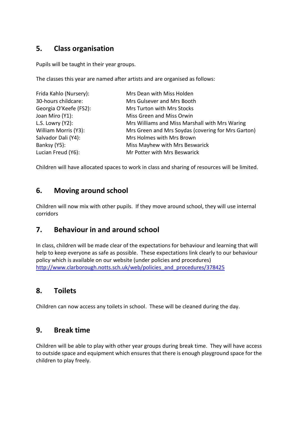## **5. Class organisation**

Pupils will be taught in their year groups.

The classes this year are named after artists and are organised as follows:

| Frida Kahlo (Nursery): | Mrs Dean with Miss Holden                          |  |  |
|------------------------|----------------------------------------------------|--|--|
| 30-hours childcare:    | Mrs Gulsever and Mrs Booth                         |  |  |
| Georgia O'Keefe (FS2): | Mrs Turton with Mrs Stocks                         |  |  |
| Joan Miro (Y1):        | Miss Green and Miss Orwin                          |  |  |
| L.S. Lowry $(Y2)$ :    | Mrs Williams and Miss Marshall with Mrs Waring     |  |  |
| William Morris (Y3):   | Mrs Green and Mrs Soydas (covering for Mrs Garton) |  |  |
| Salvador Dali (Y4):    | Mrs Holmes with Mrs Brown                          |  |  |
| Banksy (Y5):           | Miss Mayhew with Mrs Beswarick                     |  |  |
| Lucian Freud (Y6):     | Mr Potter with Mrs Beswarick                       |  |  |

Children will have allocated spaces to work in class and sharing of resources will be limited.

#### **6. Moving around school**

Children will now mix with other pupils. If they move around school, they will use internal corridors

## **7. Behaviour in and around school**

In class, children will be made clear of the expectations for behaviour and learning that will help to keep everyone as safe as possible. These expectations link clearly to our behaviour policy which is available on our website (under policies and procedures) [http://www.clarborough.notts.sch.uk/web/policies\\_and\\_procedures/378425](http://www.clarborough.notts.sch.uk/web/policies_and_procedures/378425)

## **8. Toilets**

Children can now access any toilets in school. These will be cleaned during the day.

#### **9. Break time**

Children will be able to play with other year groups during break time. They will have access to outside space and equipment which ensures that there is enough playground space for the children to play freely.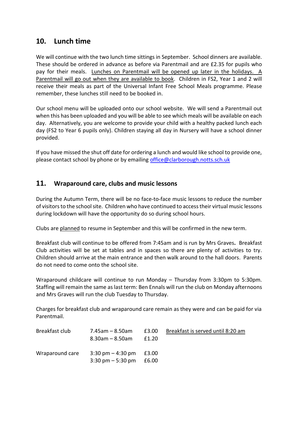#### **10. Lunch time**

We will continue with the two lunch time sittings in September. School dinners are available. These should be ordered in advance as before via Parentmail and are £2.35 for pupils who pay for their meals. Lunches on Parentmail will be opened up later in the holidays. A Parentmail will go out when they are available to book. Children in FS2, Year 1 and 2 will receive their meals as part of the Universal Infant Free School Meals programme. Please remember, these lunches still need to be booked in.

Our school menu will be uploaded onto our school website. We will send a Parentmail out when this has been uploaded and you will be able to see which meals will be available on each day. Alternatively, you are welcome to provide your child with a healthy packed lunch each day (FS2 to Year 6 pupils only). Children staying all day in Nursery will have a school dinner provided.

If you have missed the shut off date for ordering a lunch and would like school to provide one, please contact school by phone or by emailing [office@clarborough.notts.sch.uk](mailto:office@clarborough.notts.sch.uk)

#### **11. Wraparound care, clubs and music lessons**

During the Autumn Term, there will be no face-to-face music lessons to reduce the number of visitors to the school site. Children who have continued to access their virtual music lessons during lockdown will have the opportunity do so during school hours.

Clubs are planned to resume in September and this will be confirmed in the new term.

Breakfast club will continue to be offered from 7:45am and is run by Mrs Graves**.** Breakfast Club activities will be set at tables and in spaces so there are plenty of activities to try. Children should arrive at the main entrance and then walk around to the hall doors. Parents do not need to come onto the school site.

Wraparound childcare will continue to run Monday – Thursday from 3:30pm to 5:30pm. Staffing will remain the same as last term: Ben Ennals will run the club on Monday afternoons and Mrs Graves will run the club Tuesday to Thursday.

Charges for breakfast club and wraparound care remain as they were and can be paid for via Parentmail.

| Breakfast club  | 7.45am – 8.50am                           | £3.00 | Breakfast is served until 8:20 am |
|-----------------|-------------------------------------------|-------|-----------------------------------|
|                 | $8.30$ am – $8.50$ am                     | £1.20 |                                   |
| Wraparound care | $3:30 \text{ pm} - 4:30 \text{ pm}$ £3.00 |       |                                   |
|                 | $3:30 \text{ pm} - 5:30 \text{ pm}$ £6.00 |       |                                   |